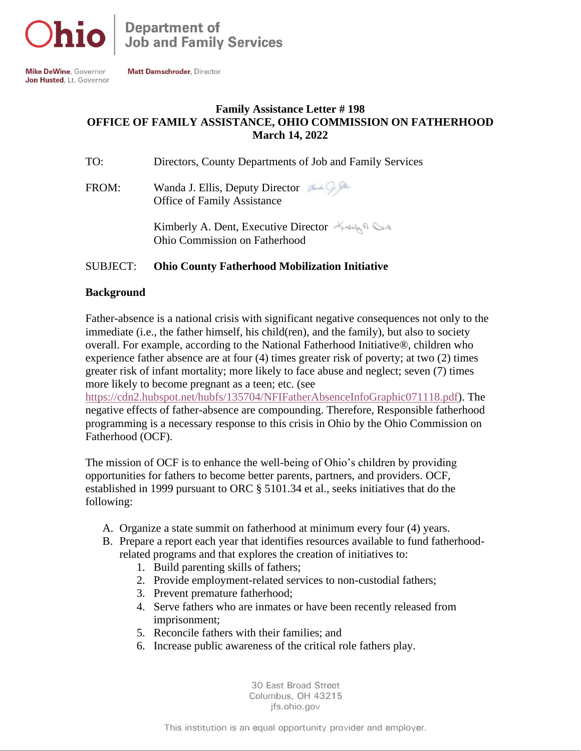

**Mike DeWine, Governor** Jon Husted, Lt. Governor

Matt Damschroder Director

# **Family Assistance Letter # 198 OFFICE OF FAMILY ASSISTANCE, OHIO COMMISSION ON FATHERHOOD March 14, 2022**

| TO: |  | Directors, County Departments of Job and Family Services |  |  |
|-----|--|----------------------------------------------------------|--|--|
|     |  |                                                          |  |  |

FROM: Wanda J. Ellis, Deputy Director Office of Family Assistance

> Kimberly A. Dent, Executive Director Andely A. Ohio Commission on Fatherhood

### SUBJECT: **Ohio County Fatherhood Mobilization Initiative**

#### **Background**

Father-absence is a national crisis with significant negative consequences not only to the immediate (i.e., the father himself, his child(ren), and the family), but also to society overall. For example, according to the National Fatherhood Initiative®, children who experience father absence are at four (4) times greater risk of poverty; at two (2) times greater risk of infant mortality; more likely to face abuse and neglect; seven (7) times more likely to become pregnant as a teen; etc. (see

[https://cdn2.hubspot.net/hubfs/135704/NFIFatherAbsenceInfoGraphic071118.pdf\)](https://cdn2.hubspot.net/hubfs/135704/NFIFatherAbsenceInfoGraphic071118.pdf). The negative effects of father-absence are compounding. Therefore, Responsible fatherhood programming is a necessary response to this crisis in Ohio by the Ohio Commission on Fatherhood (OCF).

The mission of OCF is to enhance the well-being of Ohio's children by providing opportunities for fathers to become better parents, partners, and providers. OCF, established in 1999 pursuant to ORC § 5101.34 et al., seeks initiatives that do the following:

- A. Organize a state summit on fatherhood at minimum every four (4) years.
- B. Prepare a report each year that identifies resources available to fund fatherhoodrelated programs and that explores the creation of initiatives to:
	- 1. Build parenting skills of fathers;
	- 2. Provide employment-related services to non-custodial fathers;
	- 3. Prevent premature fatherhood;
	- 4. Serve fathers who are inmates or have been recently released from imprisonment;
	- 5. Reconcile fathers with their families; and
	- 6. Increase public awareness of the critical role fathers play.

30 East Broad Street Columbus, OH 43215 ifs.ohio.gov